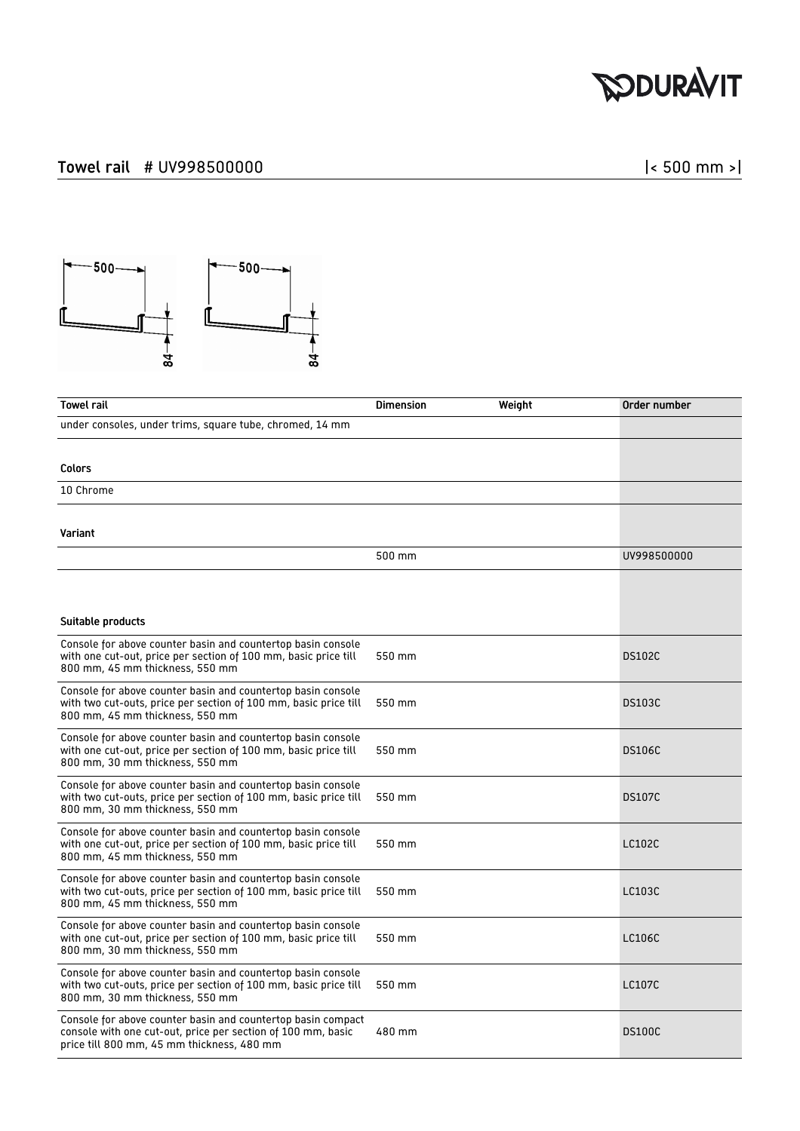## **RODURAVIT**

## Towel rail # UV998500000 **discussed** and the set of the set of the set of the set of the set of the set of the set of the set of the set of the set of the set of the set of the set of the set of the set of the set of the s



| <b>Towel rail</b>                                                                                                                                                          | <b>Dimension</b><br>Weight | Order number  |
|----------------------------------------------------------------------------------------------------------------------------------------------------------------------------|----------------------------|---------------|
| under consoles, under trims, square tube, chromed, 14 mm                                                                                                                   |                            |               |
|                                                                                                                                                                            |                            |               |
| Colors                                                                                                                                                                     |                            |               |
| 10 Chrome                                                                                                                                                                  |                            |               |
|                                                                                                                                                                            |                            |               |
| Variant                                                                                                                                                                    |                            |               |
|                                                                                                                                                                            | 500 mm                     | UV998500000   |
|                                                                                                                                                                            |                            |               |
|                                                                                                                                                                            |                            |               |
| Suitable products                                                                                                                                                          |                            |               |
| Console for above counter basin and countertop basin console<br>with one cut-out, price per section of 100 mm, basic price till<br>800 mm, 45 mm thickness, 550 mm         | 550 mm                     | <b>DS102C</b> |
| Console for above counter basin and countertop basin console<br>with two cut-outs, price per section of 100 mm, basic price till<br>800 mm, 45 mm thickness, 550 mm        | 550 mm                     | <b>DS103C</b> |
| Console for above counter basin and countertop basin console<br>with one cut-out, price per section of 100 mm, basic price till<br>800 mm, 30 mm thickness, 550 mm         | 550 mm                     | <b>DS106C</b> |
| Console for above counter basin and countertop basin console<br>with two cut-outs, price per section of 100 mm, basic price till<br>800 mm, 30 mm thickness, 550 mm        | 550 mm                     | <b>DS107C</b> |
| Console for above counter basin and countertop basin console<br>with one cut-out, price per section of 100 mm, basic price till<br>800 mm, 45 mm thickness, 550 mm         | 550 mm                     | LC102C        |
| Console for above counter basin and countertop basin console<br>with two cut-outs, price per section of 100 mm, basic price till<br>800 mm, 45 mm thickness, 550 mm        | 550 mm                     | LC103C        |
| Console for above counter basin and countertop basin console<br>with one cut-out, price per section of 100 mm, basic price till<br>800 mm, 30 mm thickness, 550 mm         | 550 mm                     | LC106C        |
| Console for above counter basin and countertop basin console<br>with two cut-outs, price per section of 100 mm, basic price till<br>800 mm, 30 mm thickness, 550 mm        | 550 mm                     | <b>LC107C</b> |
| Console for above counter basin and countertop basin compact<br>console with one cut-out, price per section of 100 mm, basic<br>price till 800 mm, 45 mm thickness, 480 mm | 480 mm                     | <b>DS100C</b> |